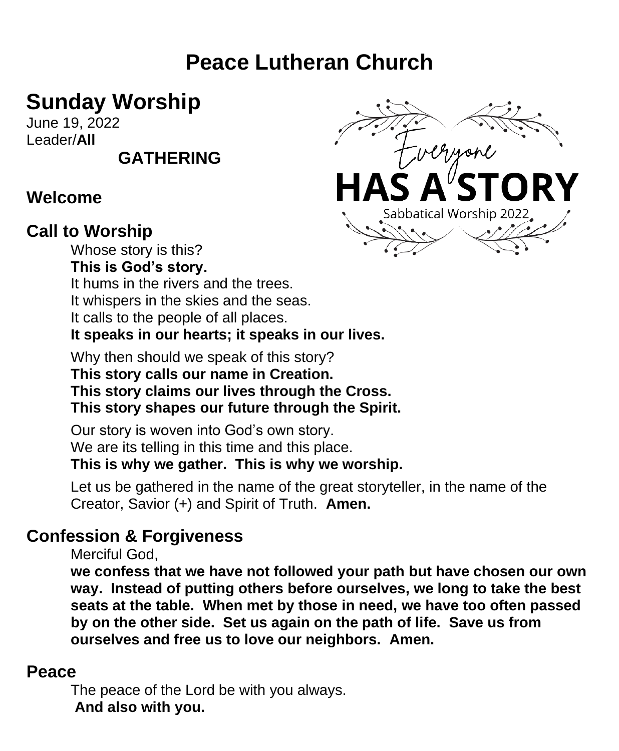# **Peace Lutheran Church**

# **Sunday Worship**

June 19, 2022 Leader/**All** 

# **GATHERING**

#### **Welcome**

#### **Call to Worship**

Whose story is this? **This is God's story.** It hums in the rivers and the trees. It whispers in the skies and the seas. It calls to the people of all places. **It speaks in our hearts; it speaks in our lives.**

Why then should we speak of this story? **This story calls our name in Creation. This story claims our lives through the Cross. This story shapes our future through the Spirit.**

Our story is woven into God's own story. We are its telling in this time and this place. **This is why we gather. This is why we worship.**

Let us be gathered in the name of the great storyteller, in the name of the Creator, Savior (+) and Spirit of Truth. **Amen.**

#### **Confession & Forgiveness**

Merciful God,

**we confess that we have not followed your path but have chosen our own way. Instead of putting others before ourselves, we long to take the best seats at the table. When met by those in need, we have too often passed by on the other side. Set us again on the path of life. Save us from ourselves and free us to love our neighbors. Amen.**

#### **Peace**

The peace of the Lord be with you always. **And also with you.**

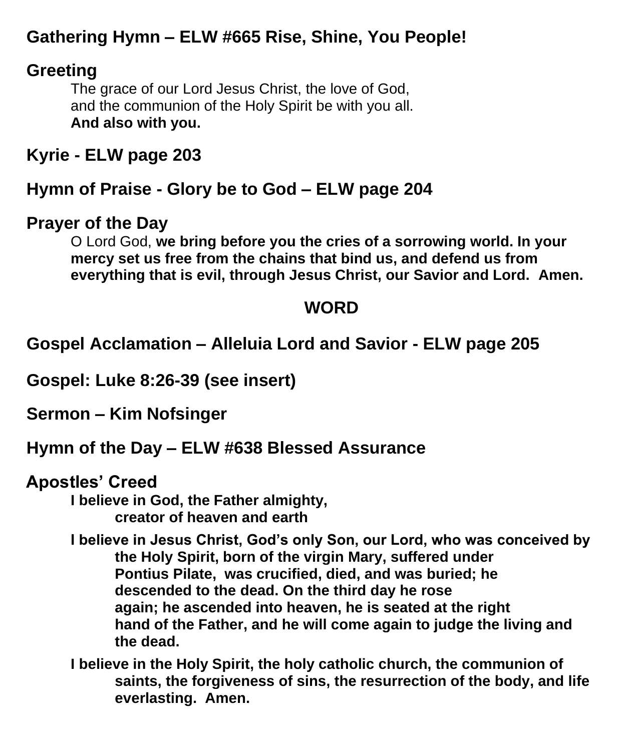# **Gathering Hymn – ELW #665 Rise, Shine, You People!**

## **Greeting**

The grace of our Lord Jesus Christ, the love of God, and the communion of the Holy Spirit be with you all. **And also with you.** 

**Kyrie - ELW page 203**

**Hymn of Praise - Glory be to God – ELW page 204**

#### **Prayer of the Day**

O Lord God, **we bring before you the cries of a sorrowing world. In your mercy set us free from the chains that bind us, and defend us from everything that is evil, through Jesus Christ, our Savior and Lord. Amen.**

### **WORD**

**Gospel Acclamation – Alleluia Lord and Savior - ELW page 205**

**Gospel: Luke 8:26-39 (see insert)**

**Sermon – Kim Nofsinger**

#### **Hymn of the Day – ELW #638 Blessed Assurance**

**Apostles' Creed**

**I believe in God, the Father almighty, creator of heaven and earth**

**I believe in Jesus Christ, God's only Son, our Lord, who was conceived by the Holy Spirit, born of the virgin Mary, suffered under Pontius Pilate, was crucified, died, and was buried; he descended to the dead. On the third day he rose again; he ascended into heaven, he is seated at the right hand of the Father, and he will come again to judge the living and the dead.**

**I believe in the Holy Spirit, the holy catholic church, the communion of saints, the forgiveness of sins, the resurrection of the body, and life everlasting. Amen.**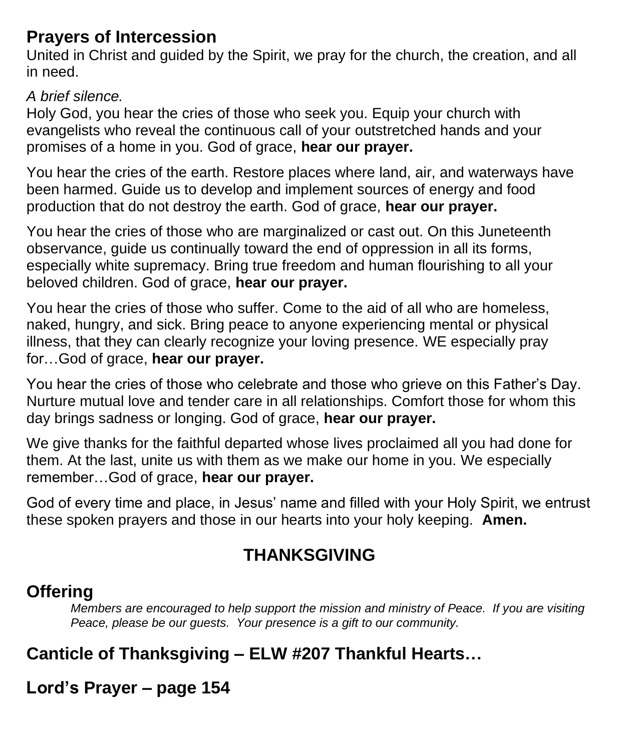#### **Prayers of Intercession**

United in Christ and guided by the Spirit, we pray for the church, the creation, and all in need.

#### *A brief silence.*

Holy God, you hear the cries of those who seek you. Equip your church with evangelists who reveal the continuous call of your outstretched hands and your promises of a home in you. God of grace, **hear our prayer.**

You hear the cries of the earth. Restore places where land, air, and waterways have been harmed. Guide us to develop and implement sources of energy and food production that do not destroy the earth. God of grace, **hear our prayer.**

You hear the cries of those who are marginalized or cast out. On this Juneteenth observance, guide us continually toward the end of oppression in all its forms, especially white supremacy. Bring true freedom and human flourishing to all your beloved children. God of grace, **hear our prayer.**

You hear the cries of those who suffer. Come to the aid of all who are homeless, naked, hungry, and sick. Bring peace to anyone experiencing mental or physical illness, that they can clearly recognize your loving presence. WE especially pray for…God of grace, **hear our prayer.**

You hear the cries of those who celebrate and those who grieve on this Father's Day. Nurture mutual love and tender care in all relationships. Comfort those for whom this day brings sadness or longing. God of grace, **hear our prayer.**

We give thanks for the faithful departed whose lives proclaimed all you had done for them. At the last, unite us with them as we make our home in you. We especially remember…God of grace, **hear our prayer.**

God of every time and place, in Jesus' name and filled with your Holy Spirit, we entrust these spoken prayers and those in our hearts into your holy keeping. **Amen.**

# **THANKSGIVING**

## **Offering**

*Members are encouraged to help support the mission and ministry of Peace. If you are visiting Peace, please be our guests. Your presence is a gift to our community.*

# **Canticle of Thanksgiving – ELW #207 Thankful Hearts…**

**Lord's Prayer – page 154**